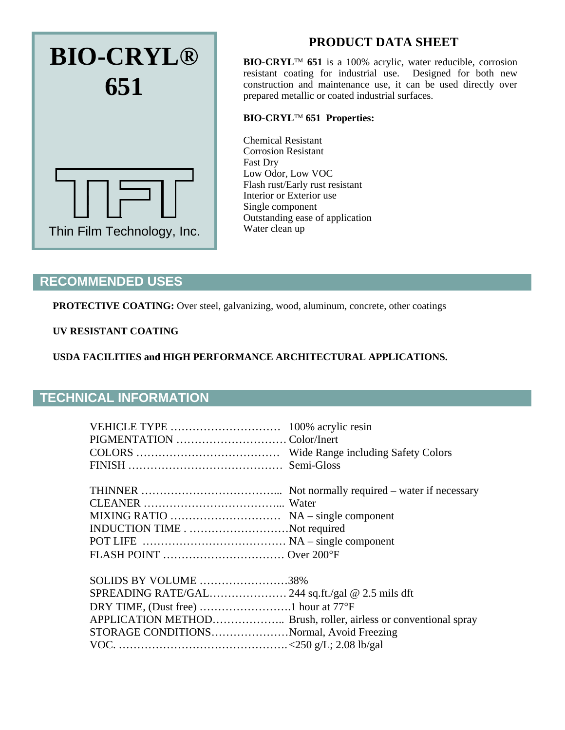

# **PRODUCT DATA SHEET**

**BIO-CRYL™ 651** is a 100% acrylic, water reducible, corrosion resistant coating for industrial use. Designed for both new construction and maintenance use, it can be used directly over prepared metallic or coated industrial surfaces.

### **BIO-CRYL 651 Properties:**

Chemical Resistant Corrosion Resistant Fast Dry Low Odor, Low VOC Flash rust/Early rust resistant Interior or Exterior use Single component Outstanding ease of application Water clean up

## **RECOMMENDED USES**

PROTECTIVE COATING: Over steel, galvanizing, wood, aluminum, concrete, other coatings

#### **UV RESISTANT COATING**

**USDA FACILITIES and HIGH PERFORMANCE ARCHITECTURAL APPLICATIONS.**

## **TECHNICAL INFORMATION**

| 100% acrylic resin                                              |  |
|-----------------------------------------------------------------|--|
|                                                                 |  |
|                                                                 |  |
| Semi-Gloss                                                      |  |
|                                                                 |  |
|                                                                 |  |
|                                                                 |  |
|                                                                 |  |
| INDUCTION TIMENot required                                      |  |
|                                                                 |  |
|                                                                 |  |
| SOLIDS BY VOLUME 38%                                            |  |
|                                                                 |  |
|                                                                 |  |
|                                                                 |  |
| APPLICATION METHOD Brush, roller, airless or conventional spray |  |
| STORAGE CONDITIONSNormal, Avoid Freezing                        |  |
|                                                                 |  |